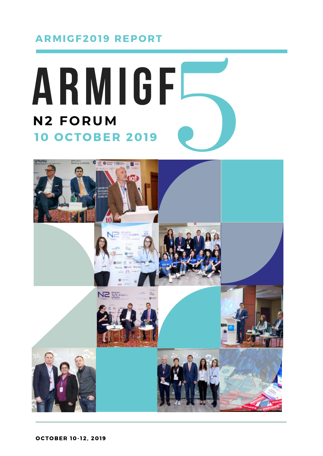#### ARMIGF2019 REPORT



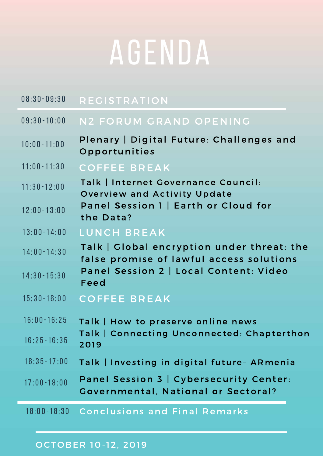# AGENDA

| $08:30 - 09:30$ | <b>REGISTRATION</b>                                                                    |
|-----------------|----------------------------------------------------------------------------------------|
| $09:30 - 10:00$ | N2 FORUM GRAND OPENING                                                                 |
| $10:00 - 11:00$ | Plenary   Digital Future: Challenges and<br>Opportunities                              |
| $11:00 - 11:30$ | <b>COFFEE BREAK</b>                                                                    |
| $11:30 - 12:00$ | Talk   Internet Governance Council:<br><b>Overview and Activity Update</b>             |
| $12:00 - 13:00$ | Panel Session 1   Earth or Cloud for<br>the Data?                                      |
| $13:00 - 14:00$ | LUNCH BREAK                                                                            |
| $14:00 - 14:30$ | Talk   Global encryption under threat: the<br>false promise of lawful access solutions |
| $14:30 - 15:30$ | Panel Session 2   Local Content: Video<br>Feed                                         |
| $15:30 - 16:00$ | <b>COFFEE BREAK</b>                                                                    |
| $16:00 - 16:25$ | Talk   How to preserve online news                                                     |
| $16:25 - 16:35$ | Talk   Connecting Unconnected: Chapterthon<br>2019                                     |
| $16:35 - 17:00$ | Talk   Investing in digital future- ARmenia                                            |
| $17:00 - 18:00$ | Panel Session 3   Cybersecurity Center:<br><b>Covernmental, National or Sectoral?</b>  |
|                 | 18:00-18:30 Conclusions and Final Remarks                                              |

#### OCTOBER 10-12, 2019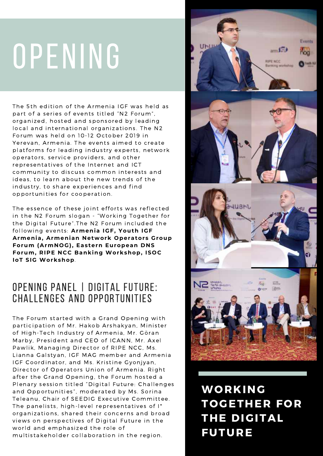# OPENING

The 5th edition of the Armenia IGF was held as part of a series of events titled "N2 Forum". organized, hosted and sponsored by leading local and international organizations. The N2 Forum was held on 10-12 October 2019 in Yerevan, Armenia. The events aimed to create platforms for leading industry experts, network operators, service providers, and other representatives of the Internet and ICT community to discuss common interests and ideas, to learn about the new trends of the industry, to share experiences and find opportunities for cooperation.

The essence of these joint efforts was reflected in the N2 Forum slogan - "Working Together for the Digital Future".The N2 Forum included the following events: Armenia IGF, Youth IGF **Armenia, Armenian Network Operators Group Forum (ArmNOG), Eastern European DNS Forum, RIPE NCC Banking Workshop, ISOC IoT SIG Workshop**.

#### OPENING Panel | Digital Future: Challenges and Opportunities

The Forum started with a Grand Opening with participation of Mr. Hakob Arshakyan, Minister of High-Tech Industry of Armenia, Mr. Göran Marby, President and CEO of ICANN, Mr. Axel Pawlik, Managing Director of RIPE NCC, Ms. Lianna Galstyan, IGF MAG member and Armenia IGF Coordinator, and Ms. Kristine Gyonjyan, Director of Operators Union of Armenia. Right after the Grand Opening, the Forum hosted a Plenary session titled "Digital Future: Challenges and Opportunities", moderated by Ms. Sorina Teleanu, Chair of SEEDIG Executive Committee. The panelists, high-level representatives of  $I^*$ organizations, shared their concerns and broad views on perspectives of Digital Future in the world and emphasized the role of multistakeholder collaboration in the region.



WORKING TOGETHER FOR THE DIGITAL FUTURE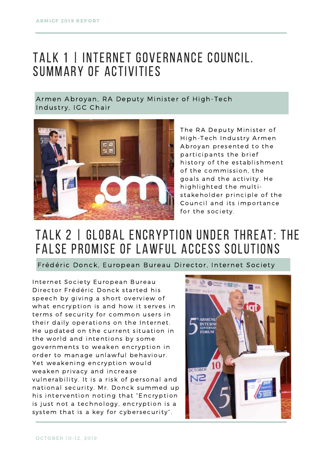### TALK 1 | Internet Governance Council. Summary of activities

Armen Abroyan, RA Deputy Minister of High-Tech Industry, IGC Chair



The RA Deputy Minister of High-Tech Industry Armen Abroyan presented to the participants the brief history of the establishment of the commission, the goals and the activity. He highlighted the multistakeholder principle of the Council and its importance for the society.

## Talk 2 | Global encryption under threat: the false promise of lawful access solutions

Frédéric Donck, European Bureau Director, Internet Society

Internet Society European Bureau Director Frédéric Donck started his speech by giving a short overview of what encryption is and how it serves in terms of security for common users in their daily operations on the Internet. He updated on the current situation in the world and intentions by some governments to weaken encryption in order to manage unlawful behaviour. Yet weakening encryption would weaken privacy and increase vulnerability. It is a risk of personal and national security. Mr. Donck summed up his intervention noting that "Encryption is just not a technology, encryption is a system that is a key for cybersecurity".

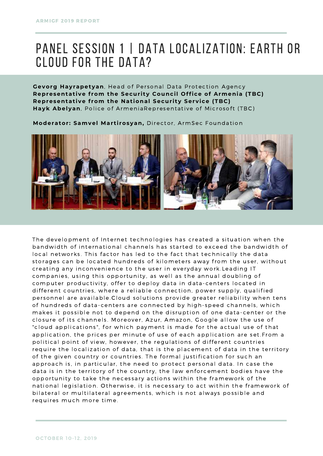### PANEL SESSION 1 | DATA LOCALIZATION: EARTH OR Cloud for the Data?

**Gevorg Hayrapetyan**, Head of Personal Data Protection Agency **Representat ive f rom the Secur i ty Council Office of Armenia (TBC) Representative from the National Security Service (TBC)** Hayk Abelyan, Police of ArmeniaRepresentative of Microsoft (TBC)

**Moderator : Samvel Mar t i rosyan,** Director, ArmSec Foundation



The development of Internet technologies has created a situation when the bandwidth of international channels has started to exceed the bandwidth of local networks. This factor has led to the fact that technically the data storages can be located hundreds of kilometers away from the user, without creating any inconvenience to the user in everyday work. Leading IT companies, using this opportunity, as well as the annual doubling of computer productivity, offer to deploy data in data-centers located in different countries, where a reliable connection, power supply, qualified personnel are available.Cloud solutions provide greater reliability when tens of hundreds of data-centers are connected by high-speed channels, which makes it possible not to depend on the disruption of one data-center or the closure of its channels. Moreover, Azur, Amazon, Google allow the use of "cloud applications", for which payment is made for the actual use of that application, the prices per minute of use of each application are set.From a political point of view, however, the regulations of different countries require the localization of data, that is the placement of data in the territory of the given country or countries. The formal justification for such an approach is, in particular, the need to protect personal data. In case the data is in the territory of the country, the law enforcement bodies have the opportunity to take the necessary actions within the framework of the national legislation. Otherwise, it is necessary to act within the framework of bilateral or multilateral agreements, which is not always possible and requires much more time.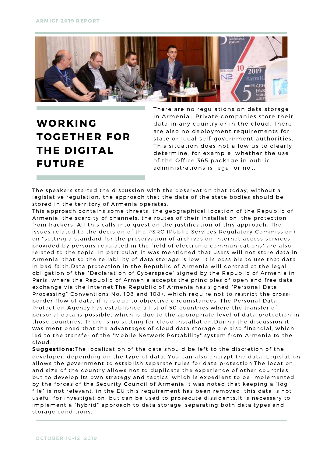

#### WORKING TOGETHER FOR THE DIGITAL FUTURE

There are no regulations on data storage in Armenia. Private companies store their data in any country or in the cloud. There are also no deployment requirements for state or local self-government authorities. This situation does not allow us to clearly determine, for example, whether the use of the Office 365 package in public administrations is legal or not.

The speakers started the discussion with the observation that today, without a legislative regulation, the approach that the data of the state bodies should be stored in the territory of Armenia operates.

This approach contains some threats: the geographical location of the Republic of Armenia, the scarcity of channels, the routes of their installation, the protection from hackers. All this calls into question the justification of this approach. The issues related to the decision of the PSRC (Public Services Regulatory Commission) on "setting a standard for the preservation of archives on Internet access services provided by persons regulated in the field of electronic communications" are also related to the topic. In particular, it was mentioned that users will not store data in Armenia, that so the reliability of data storage is low, it is possible to use that data in bad faith.Data protection in the Republic of Armenia will contradict the legal obligation of the "Declaration of Cyberspace" signed by the Republic of Armenia in Paris, where the Republic of Armenia accepts the principles of open and free data exchange via the Internet.The Republic of Armenia has signed "Personal Data Processing" Conventions No. 108 and 108+, which require not to restrict the crossborder flow of data, if it is due to objective circumstances. The Personal Data Protection Agency has established a list of 50 countries where the transfer of personal data is possible, which is due to the appropriate level of data protection in those countries. There is no setting for cloud installation.During the discussion it was mentioned that the advantages of cloud data storage are also financial, which led to the transfer of the "Mobile Network Portability" system from Armenia to the cloud.

**Suggestions:**The localization of the data should be left to the discretion of the developer, depending on the type of data. You can also encrypt the data. Legislation allows the government to establish separate rules for data protection.The location and size of the country allows not to duplicate the experience of other countries, but to develop its own strategy and tactics, which is expedient to be implemented by the forces of the Security Council of Armenia.It was noted that keeping a "log file" is not relevant, in the EU this requirement has been removed, this data is not useful for investigation, but can be used to prosecute dissidents. It is necessary to implement a "hybrid" approach to data storage, separating both data types and storage conditions.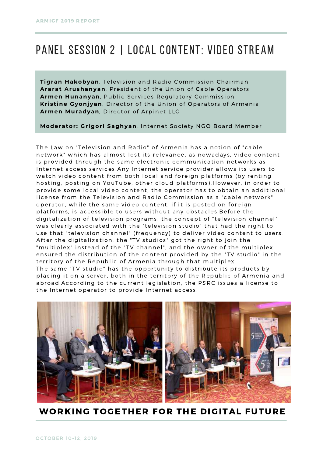#### Panel Session 2 | Local content: Video stream

**Tigran Hakobyan**, Television and Radio Commission Chairman Ararat Arushanyan, President of the Union of Cable Operators Armen Hunanyan, Public Services Regulatory Commission **Kristine Gyonjyan**, Director of the Union of Operators of Armenia Armen Muradyan, Director of Arpinet LLC

**Moderator: Grigori Saghyan**, Internet Society NGO Board Member

The Law on "Television and Radio" of Armenia has a notion of "cable network" which has almost lost its relevance, as nowadays, video content is provided through the same electronic communication networks as Internet access services. Any Internet service provider allows its users to watch video content from both local and foreign platforms (by renting hosting, posting on YouTube, other cloud platforms).However, in order to provide some local video content, the operator has to obtain an additional license from the Television and Radio Commission as a "cable network" operator, while the same video content, if it is posted on foreign platforms, is accessible to users without any obstacles. Before the digitalization of television programs, the concept of "television channel" was clearly associated with the "television studio" that had the right to use that "television channel" (frequency) to deliver video content to users. After the digitalization, the "TV studios" got the right to join the "multiplex" ins tead of the "TV channel", and the owner of the multiplex ensured the distribution of the content provided by the "TV studio" in the territory of the Republic of Armenia through that multiplex. The same "TV studio" has the opportunity to distribute its products by placing it on a server, both in the territory of the Republic of Armenia and abroad.According to the current legislation, the PSRC issues a license to the Internet operator to provide Internet access.



WORKING TOGETHER FOR THE DIGITAL FUTURE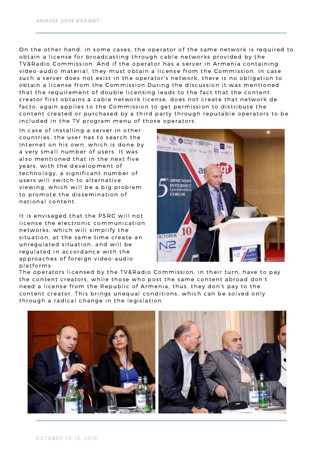On the other hand, in some cases, the operator of the same network is required to obtain a license for broadcasting through cable networks provided by the TV&Radio Commission. And if the operator has a server in Armenia containing video-audio material, they must obtain a license from the Commission. In case such a server does not exist in the operator's network, there is no obligation to obtain a license from the Commission.During the discussion it was mentioned that the requirement of double licensing leads to the fact that the content creator first obtains a cable network license, does not create that network de facto, again applies to the Commission to get permission to distribute the content created or purchased by a third party through reputable operators to be included in the TV program menu of those operators.

In case of installing a server in other countries, the user has to search the Internet on his own, which is done by a very small number of users. It was also mentioned that in the next five years, with the development of technology, a significant number of users will switch to alternative viewing, which will be a big problem to promote the dissemination of national content.

It is envisaged that the PSRC will not license the electronic communication networks, which will simplify the situation, at the same time create an unregulated situation, and will be regulated in accordance with the approaches of foreign video-audio platforms .



The operators licensed by the TV&Radio Commission, in their turn, have to pay the content creators, while those who post the same content abroad don't need a license from the Republic of Armenia, thus, they don't pay to the content creator. This brings unequal conditions, which can be solved only through a radical change in the legislation.

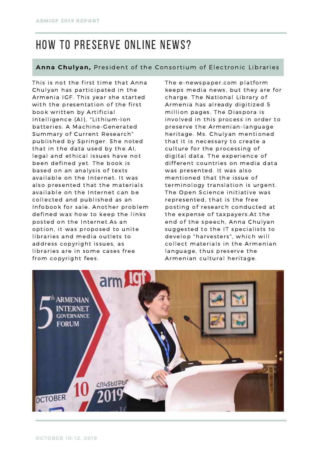### How to PReserve online news?

#### Anna Chulyan, President of the Consortium of Electronic Libraries

This is not the first time that Anna Chulyan has participated in the Armenia IGF. This year she started with the presentation of the first book written by Artificial Intelligence (AI), "Lithium-Ion batteries: A Machine-Generated Summary of Current Research" published by Springer. She noted that in the data used by the AI, legal and ethical issues have not been defined yet. The book is based on an analysis of texts available on the Internet. It was also presented that the materials available on the Internet can be collected and published as an Infobook for sale. Another problem defined was how to keep the links posted on the Internet.As an option, it was proposed to unite libraries and media outlets to address copyright issues, as libraries are in some cases free from copyright fees.

The e-newspaper.com platform keeps media news, but they are for charge. The National Library of Armenia has already digitized 5 million pages. The Diaspora is involved in this process in order to preserve the Armenian-language heritage. Ms. Chulyan mentioned that it is necessary to create a culture for the processing of digital data. The experience of different countries on media data was presented. It was also mentioned that the issue of terminology translation is urgent. The Open Science initiative was represented, that is the free posting of research conducted at the expense of taxpayers. At the end of the speech, Anna Chulyan suggested to the IT specialists to develop "harvesters", which will collect materials in the Armenian language, thus preserve the Armenian cultural heritage.

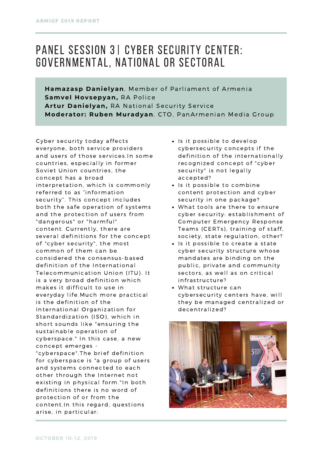#### Panel Session 3| Cyber Security Center: governmental, national or sectoral

**Hamazasp Danielyan**, Member of Parliament of Armenia **Samvel Hovsepyan,** RA Police Artur Danielyan, RA National Security Service **Moderator: Ruben Muradyan**, CTO, PanArmenian Media Group

Cyber security today affects everyone, both service providers and users of those services. In some countries, especially in former Soviet Union countries, the concept has a broad interpretation, which is commonly referred to as "information security". This concept includes both the safe operation of systems and the protection of users from "dangerous" or "harmful" content. Currently, there are several definitions for the concept of "cyber security", the most common of them can be cons idered the consensus -based definition of the International Telecommunication Union (ITU). It is a very broad definition which makes it difficult to use in ever yday life.Much more practical is the definition of the International Organization for Standardization (ISO), which in short sounds like "ensuring the sustainable operation of cyberspace." In this case, a new concept emerges - "cyberspace". The brief definition

for cyberspace is "a group of users and systems connected to each other through the Internet not existing in physical form."In both definitions there is no word of protection of or from the content. In this regard, questions arise, in particular:

- Is it possible to develop cybersecurity concepts if the definition of the internationally recognized concept of "cyber security" is not legally accepted?
- Is it possible to combine content protection and cyber security in one package?
- What tools are there to ensure cyber security: establishment of Computer Emergency Response Teams (CERTs), training of staff, society, state regulation, other?
- Is it possible to create a state cyber security structure whose mandates are binding on the public, private and community sectors, as well as on critical infrastructure?
- What structure can cybersecurity centers have, will they be managed centralized or decentralized?

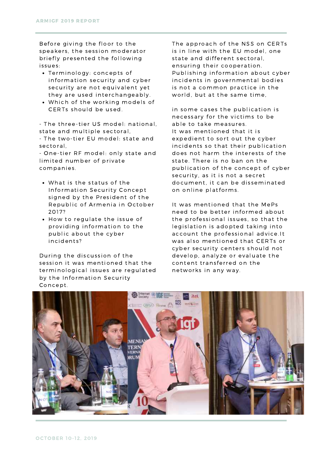Before giving the floor to the speakers, the session moderator briefly presented the following issues:

- Terminology: concepts of information security and cyber security are not equivalent yet they are used interchangeably.
- Which of the working models of CERTs should be used.

- The three-tier US model: national, state and multiple sectoral,

- The two-tier EU model: state and sectoral,

- One-tier RF model: only state and limited number of private companies .

- What is the status of the Information Security Concept signed by the President of the Republic of Armenia in October 2017?
- How to regulate the issue of providing information to the public about the cyber incidents?

During the discussion of the session it was mentioned that the terminological issues are regulated by the Information Security Concept.

The approach of the NSS on CERTs is in line with the EU model, one state and different sectoral, ensuring their cooperation. Publishing information about cyber incidents in governmental bodies is not a common practice in the world, but at the same time,

in some cases the publication is necessary for the victims to be able to take measures. It was mentioned that it is expedient to sort out the cyber incidents so that their publication does not harm the interests of the state. There is no ban on the publication of the concept of cyber security, as it is not a secret document, it can be disseminated on online platforms .

It was mentioned that the MePs need to be better informed about the professional issues, so that the legislation is adopted taking into account the professional advice.It was also mentioned that CERTs or cyber security centers should not develop, analyze or evaluate the content trans ferred on the networks in any way.

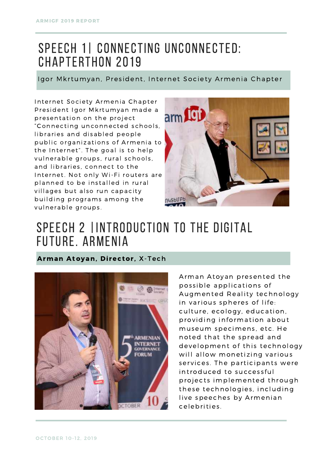### SPEECH 1| CONNECTING UNCONNECTED: Chapterthon 2019

Igor Mkrtumyan, President, Internet Society Armenia Chapter

Internet Society Armenia Chapter President Igor Mkrtumyan made a presentation on the project "Connecting unconnected schools, libraries and disabled people public organizations of Armenia to the Internet". The goal is to help vulnerable groups, rural schools, and libraries, connect to the Internet. Not only Wi-Fi routers are planned to be installed in rural villages but also run capacity building programs among the vulnerable groups.



#### SPEECH 2 |INTRODUCTION TO THE DIGITAL future. ARmenia

Arman Atoyan, Director, X-Tech



Arman Atoyan presented the possible applications of Augmented Reality technology in various spheres of life: culture, ecology, education, providing information about museum specimens, etc. He noted that the spread and development of this technology will allow monetizing various services. The participants were introduced to successful projects implemented through these technologies, including live speeches by Armenian celebrities .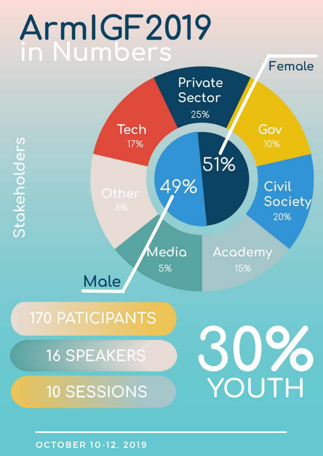# ArmIGF2019 in Numbers



OCTOBER 10-12, 2019